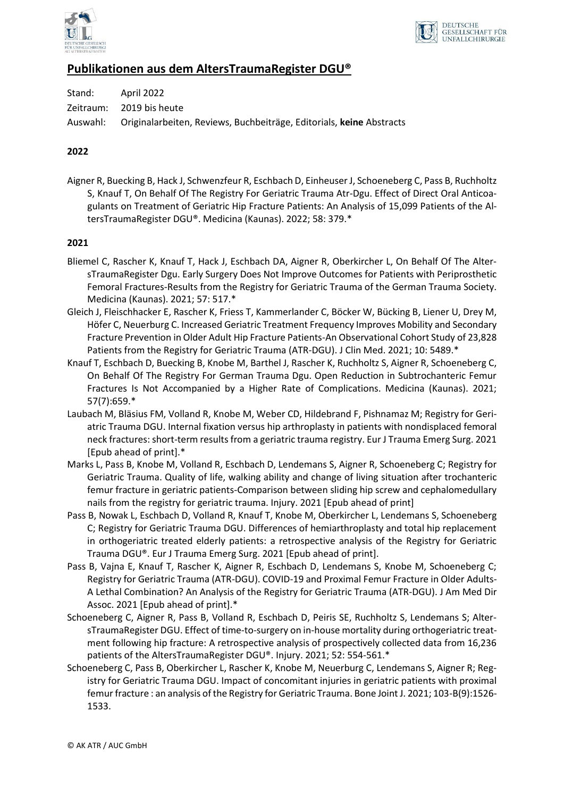



# **Publikationen aus dem AltersTraumaRegister DGU®**

| Stand: | April 2022                                                                    |
|--------|-------------------------------------------------------------------------------|
|        | Zeitraum: 2019 bis heute                                                      |
|        | Auswahl: Originalarbeiten, Reviews, Buchbeiträge, Editorials, keine Abstracts |

## **2022**

Aigner R, Buecking B, Hack J, Schwenzfeur R, Eschbach D, Einheuser J, Schoeneberg C, Pass B, Ruchholtz S, Knauf T, On Behalf Of The Registry For Geriatric Trauma Atr-Dgu. Effect of Direct Oral Anticoagulants on Treatment of Geriatric Hip Fracture Patients: An Analysis of 15,099 Patients of the AltersTraumaRegister DGU®. Medicina (Kaunas). 2022; 58: 379.\*

#### **2021**

- Bliemel C, Rascher K, Knauf T, Hack J, Eschbach DA, Aigner R, Oberkircher L, On Behalf Of The AltersTraumaRegister Dgu. Early Surgery Does Not Improve Outcomes for Patients with Periprosthetic Femoral Fractures-Results from the Registry for Geriatric Trauma of the German Trauma Society. Medicina (Kaunas). 2021; 57: 517.\*
- Gleich J, Fleischhacker E, Rascher K, Friess T, Kammerlander C, Böcker W, Bücking B, Liener U, Drey M, Höfer C, Neuerburg C. Increased Geriatric Treatment Frequency Improves Mobility and Secondary Fracture Prevention in Older Adult Hip Fracture Patients-An Observational Cohort Study of 23,828 Patients from the Registry for Geriatric Trauma (ATR-DGU). J Clin Med. 2021; 10: 5489.\*
- Knauf T, Eschbach D, Buecking B, Knobe M, Barthel J, Rascher K, Ruchholtz S, Aigner R, Schoeneberg C, On Behalf Of The Registry For German Trauma Dgu. Open Reduction in Subtrochanteric Femur Fractures Is Not Accompanied by a Higher Rate of Complications. Medicina (Kaunas). 2021; 57(7):659.\*
- Laubach M, Bläsius FM, Volland R, Knobe M, Weber CD, Hildebrand F, Pishnamaz M; Registry for Geriatric Trauma DGU. Internal fixation versus hip arthroplasty in patients with nondisplaced femoral neck fractures: short-term results from a geriatric trauma registry. Eur J Trauma Emerg Surg. 2021 [Epub ahead of print].\*
- Marks L, Pass B, Knobe M, Volland R, Eschbach D, Lendemans S, Aigner R, Schoeneberg C; Registry for Geriatric Trauma. Quality of life, walking ability and change of living situation after trochanteric femur fracture in geriatric patients-Comparison between sliding hip screw and cephalomedullary nails from the registry for geriatric trauma. Injury. 2021 [Epub ahead of print]
- Pass B, Nowak L, Eschbach D, Volland R, Knauf T, Knobe M, Oberkircher L, Lendemans S, Schoeneberg C; Registry for Geriatric Trauma DGU. Differences of hemiarthroplasty and total hip replacement in orthogeriatric treated elderly patients: a retrospective analysis of the Registry for Geriatric Trauma DGU®. Eur J Trauma Emerg Surg. 2021 [Epub ahead of print].
- Pass B, Vajna E, Knauf T, Rascher K, Aigner R, Eschbach D, Lendemans S, Knobe M, Schoeneberg C; Registry for Geriatric Trauma (ATR-DGU). COVID-19 and Proximal Femur Fracture in Older Adults-A Lethal Combination? An Analysis of the Registry for Geriatric Trauma (ATR-DGU). J Am Med Dir Assoc. 2021 [Epub ahead of print].\*
- Schoeneberg C, Aigner R, Pass B, Volland R, Eschbach D, Peiris SE, Ruchholtz S, Lendemans S; AltersTraumaRegister DGU. Effect of time-to-surgery on in-house mortality during orthogeriatric treatment following hip fracture: A retrospective analysis of prospectively collected data from 16,236 patients of the AltersTraumaRegister DGU®. Injury. 2021; 52: 554-561.\*
- Schoeneberg C, Pass B, Oberkircher L, Rascher K, Knobe M, Neuerburg C, Lendemans S, Aigner R; Registry for Geriatric Trauma DGU. Impact of concomitant injuries in geriatric patients with proximal femur fracture : an analysis of the Registry for Geriatric Trauma. Bone Joint J. 2021; 103-B(9):1526- 1533.